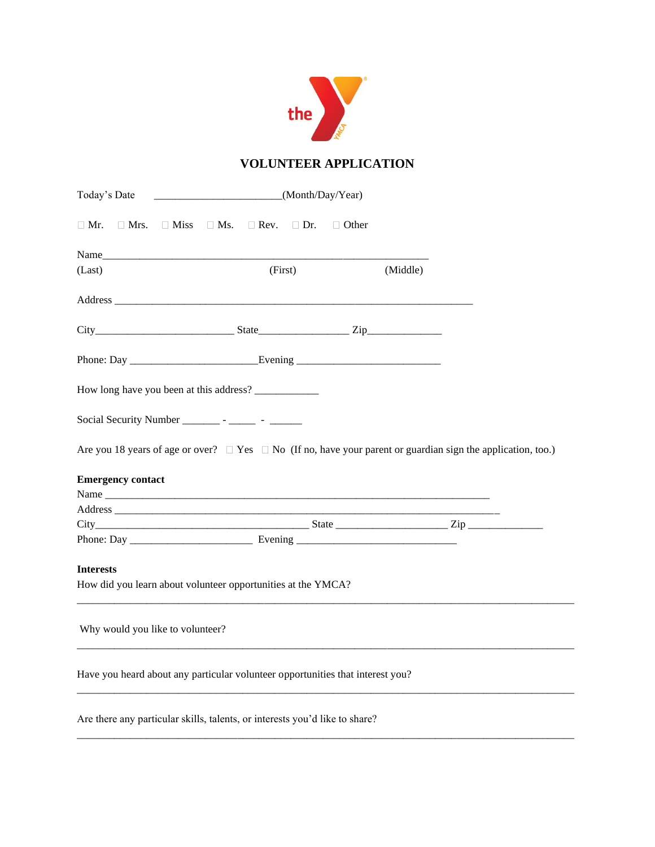

## **VOLUNTEER APPLICATION**

| Today's Date                     | $\frac{1}{2}$ (Month/Day/Year)                                                                                         |              |  |  |
|----------------------------------|------------------------------------------------------------------------------------------------------------------------|--------------|--|--|
| $\Box$ Mrs.<br>$\Box$ Mr.        | $\Box$ Miss $\Box$ Ms. $\Box$ Rev. $\Box$ Dr.                                                                          | $\Box$ Other |  |  |
| Name                             |                                                                                                                        |              |  |  |
| (Last)                           | (First)                                                                                                                | (Middle)     |  |  |
|                                  |                                                                                                                        |              |  |  |
|                                  | $City$ $City$ $Size$ $State$ $Zip$ $Zip$                                                                               |              |  |  |
|                                  |                                                                                                                        |              |  |  |
|                                  |                                                                                                                        |              |  |  |
|                                  |                                                                                                                        |              |  |  |
|                                  | Are you 18 years of age or over? $\Box$ Yes $\Box$ No (If no, have your parent or guardian sign the application, too.) |              |  |  |
| <b>Emergency contact</b>         |                                                                                                                        |              |  |  |
|                                  |                                                                                                                        |              |  |  |
|                                  | $City$ $Zip$ $Zip$                                                                                                     |              |  |  |
|                                  |                                                                                                                        |              |  |  |
| <b>Interests</b>                 |                                                                                                                        |              |  |  |
|                                  | How did you learn about volunteer opportunities at the YMCA?                                                           |              |  |  |
| Why would you like to volunteer? |                                                                                                                        |              |  |  |
|                                  | Have you heard about any particular volunteer opportunities that interest you?                                         |              |  |  |
|                                  | Are there any particular skills, talents, or interests you'd like to share?                                            |              |  |  |

 $\_$  ,  $\_$  ,  $\_$  ,  $\_$  ,  $\_$  ,  $\_$  ,  $\_$  ,  $\_$  ,  $\_$  ,  $\_$  ,  $\_$  ,  $\_$  ,  $\_$  ,  $\_$  ,  $\_$  ,  $\_$  ,  $\_$  ,  $\_$  ,  $\_$  ,  $\_$  ,  $\_$  ,  $\_$  ,  $\_$  ,  $\_$  ,  $\_$  ,  $\_$  ,  $\_$  ,  $\_$  ,  $\_$  ,  $\_$  ,  $\_$  ,  $\_$  ,  $\_$  ,  $\_$  ,  $\_$  ,  $\_$  ,  $\_$  ,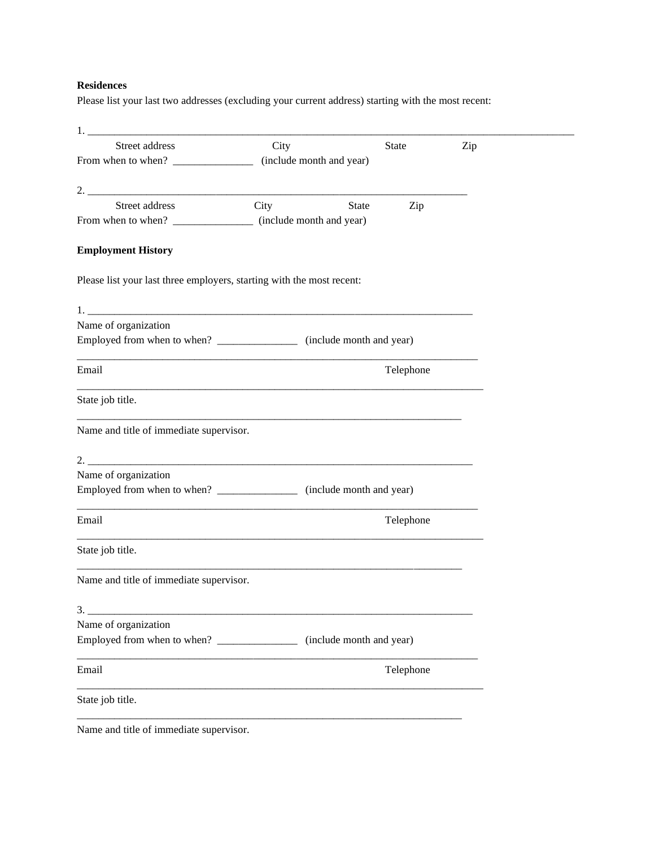## **Residences**

Please list your last two addresses (excluding your current address) starting with the most recent:

| <u> 1980 - John Stein, Amerikaansk politiker (</u>                                        |                          |                          |           |     |
|-------------------------------------------------------------------------------------------|--------------------------|--------------------------|-----------|-----|
| Street address                                                                            | City                     |                          | State     | Zip |
| From when to when? $\frac{1}{\sqrt{1-\frac{1}{2}}}\left\lfloor \frac{1}{2} \right\rfloor$ | (include month and year) |                          |           |     |
|                                                                                           |                          |                          |           |     |
| $2.$ $\overline{\phantom{a}}$<br>Street address                                           | City                     |                          |           |     |
| From when to when? __________________ (include month and year)                            |                          | State                    | Zip       |     |
|                                                                                           |                          |                          |           |     |
| <b>Employment History</b>                                                                 |                          |                          |           |     |
| Please list your last three employers, starting with the most recent:                     |                          |                          |           |     |
|                                                                                           |                          |                          |           |     |
| Name of organization                                                                      |                          |                          |           |     |
| Employed from when to when? ___________________ (include month and year)                  |                          |                          |           |     |
| Email                                                                                     |                          |                          | Telephone |     |
| State job title.                                                                          |                          |                          |           |     |
| Name and title of immediate supervisor.                                                   |                          |                          |           |     |
|                                                                                           |                          |                          |           |     |
| Name of organization                                                                      |                          |                          |           |     |
| Employed from when to when? __________________ (include month and year)                   |                          |                          |           |     |
| Email                                                                                     |                          |                          | Telephone |     |
| State job title.                                                                          |                          |                          |           |     |
| Name and title of immediate supervisor.                                                   |                          |                          |           |     |
| 3.                                                                                        |                          |                          |           |     |
| Name of organization                                                                      |                          |                          |           |     |
|                                                                                           |                          | (include month and year) |           |     |
| Email                                                                                     |                          |                          | Telephone |     |
| State job title.                                                                          |                          |                          |           |     |
|                                                                                           |                          |                          |           |     |

Name and title of immediate supervisor.